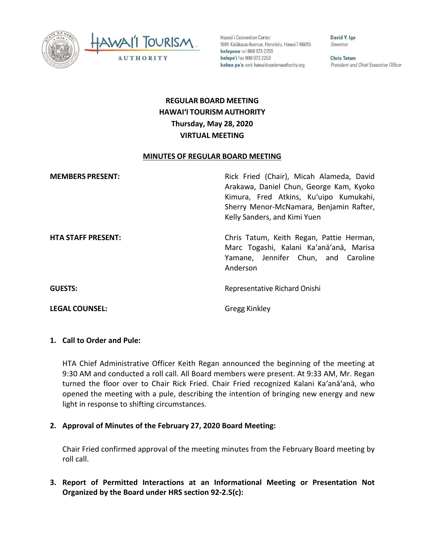



Hawai'i Convention Center 1801 Kalākaua Avenue, Honolulu, Hawai'i 96815 kelepona tel 808 973 2255 kelepa'i fax 808 973 2253 kahua pa'a web hawaiitourismauthority.org

David Y. Ige Governor

**Chris Tatum** President and Chief Executive Officer

# **REGULAR BOARD MEETING HAWAI'I TOURISM AUTHORITY Thursday, May 28, 2020 VIRTUAL MEETING**

#### **MINUTES OF REGULAR BOARD MEETING**

| <b>MEMBERS PRESENT:</b>   | Rick Fried (Chair), Micah Alameda, David<br>Arakawa, Daniel Chun, George Kam, Kyoko<br>Kimura, Fred Atkins, Ku'uipo Kumukahi,<br>Sherry Menor-McNamara, Benjamin Rafter,<br>Kelly Sanders, and Kimi Yuen |
|---------------------------|----------------------------------------------------------------------------------------------------------------------------------------------------------------------------------------------------------|
| <b>HTA STAFF PRESENT:</b> | Chris Tatum, Keith Regan, Pattie Herman,<br>Marc Togashi, Kalani Ka'anā'anā, Marisa<br>Yamane, Jennifer Chun, and Caroline<br>Anderson                                                                   |
| <b>GUESTS:</b>            | Representative Richard Onishi                                                                                                                                                                            |

#### **1. Call to Order and Pule:**

HTA Chief Administrative Officer Keith Regan announced the beginning of the meeting at 9:30 AM and conducted a roll call. All Board members were present. At 9:33 AM, Mr. Regan turned the floor over to Chair Rick Fried. Chair Fried recognized Kalani Ka'anā'anā, who opened the meeting with a pule, describing the intention of bringing new energy and new light in response to shifting circumstances.

### **2. Approval of Minutes of the February 27, 2020 Board Meeting:**

**LEGAL COUNSEL:** Gregg Kinkley

Chair Fried confirmed approval of the meeting minutes from the February Board meeting by roll call.

**3. Report of Permitted Interactions at an Informational Meeting or Presentation Not Organized by the Board under HRS section 92-2.5(c):**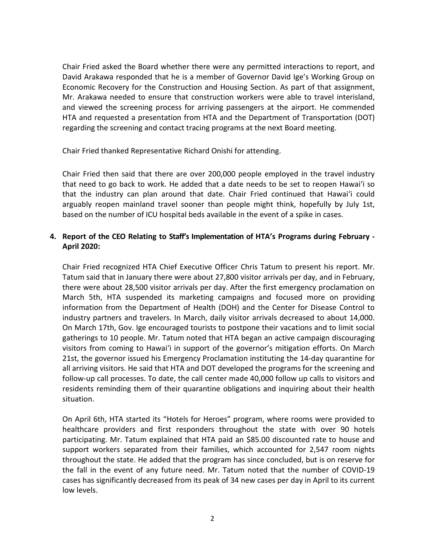Chair Fried asked the Board whether there were any permitted interactions to report, and David Arakawa responded that he is a member of Governor David Ige's Working Group on Economic Recovery for the Construction and Housing Section. As part of that assignment, Mr. Arakawa needed to ensure that construction workers were able to travel interisland, and viewed the screening process for arriving passengers at the airport. He commended HTA and requested a presentation from HTA and the Department of Transportation (DOT) regarding the screening and contact tracing programs at the next Board meeting.

Chair Fried thanked Representative Richard Onishi for attending.

Chair Fried then said that there are over 200,000 people employed in the travel industry that need to go back to work. He added that a date needs to be set to reopen Hawai'i so that the industry can plan around that date. Chair Fried continued that Hawai'i could arguably reopen mainland travel sooner than people might think, hopefully by July 1st, based on the number of ICU hospital beds available in the event of a spike in cases.

# **4. Report of the CEO Relating to Staff's Implementation of HTA's Programs during February - April 2020:**

Chair Fried recognized HTA Chief Executive Officer Chris Tatum to present his report. Mr. Tatum said that in January there were about 27,800 visitor arrivals per day, and in February, there were about 28,500 visitor arrivals per day. After the first emergency proclamation on March 5th, HTA suspended its marketing campaigns and focused more on providing information from the Department of Health (DOH) and the Center for Disease Control to industry partners and travelers. In March, daily visitor arrivals decreased to about 14,000. On March 17th, Gov. Ige encouraged tourists to postpone their vacations and to limit social gatherings to 10 people. Mr. Tatum noted that HTA began an active campaign discouraging visitors from coming to Hawai'i in support of the governor's mitigation efforts. On March 21st, the governor issued his Emergency Proclamation instituting the 14-day quarantine for all arriving visitors. He said that HTA and DOT developed the programs for the screening and follow-up call processes. To date, the call center made 40,000 follow up calls to visitors and residents reminding them of their quarantine obligations and inquiring about their health situation.

On April 6th, HTA started its "Hotels for Heroes" program, where rooms were provided to healthcare providers and first responders throughout the state with over 90 hotels participating. Mr. Tatum explained that HTA paid an \$85.00 discounted rate to house and support workers separated from their families, which accounted for 2,547 room nights throughout the state. He added that the program has since concluded, but is on reserve for the fall in the event of any future need. Mr. Tatum noted that the number of COVID-19 cases has significantly decreased from its peak of 34 new cases per day in April to its current low levels.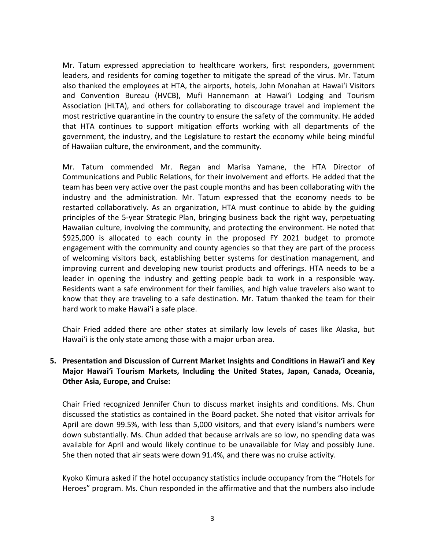Mr. Tatum expressed appreciation to healthcare workers, first responders, government leaders, and residents for coming together to mitigate the spread of the virus. Mr. Tatum also thanked the employees at HTA, the airports, hotels, John Monahan at Hawai'i Visitors and Convention Bureau (HVCB), Mufi Hannemann at Hawai'i Lodging and Tourism Association (HLTA), and others for collaborating to discourage travel and implement the most restrictive quarantine in the country to ensure the safety of the community. He added that HTA continues to support mitigation efforts working with all departments of the government, the industry, and the Legislature to restart the economy while being mindful of Hawaiian culture, the environment, and the community.

Mr. Tatum commended Mr. Regan and Marisa Yamane, the HTA Director of Communications and Public Relations, for their involvement and efforts. He added that the team has been very active over the past couple months and has been collaborating with the industry and the administration. Mr. Tatum expressed that the economy needs to be restarted collaboratively. As an organization, HTA must continue to abide by the guiding principles of the 5-year Strategic Plan, bringing business back the right way, perpetuating Hawaiian culture, involving the community, and protecting the environment. He noted that \$925,000 is allocated to each county in the proposed FY 2021 budget to promote engagement with the community and county agencies so that they are part of the process of welcoming visitors back, establishing better systems for destination management, and improving current and developing new tourist products and offerings. HTA needs to be a leader in opening the industry and getting people back to work in a responsible way. Residents want a safe environment for their families, and high value travelers also want to know that they are traveling to a safe destination. Mr. Tatum thanked the team for their hard work to make Hawai'i a safe place.

Chair Fried added there are other states at similarly low levels of cases like Alaska, but Hawai'i is the only state among those with a major urban area.

# **5. Presentation and Discussion of Current Market Insights and Conditions in Hawai'i and Key Major Hawai'i Tourism Markets, Including the United States, Japan, Canada, Oceania, Other Asia, Europe, and Cruise:**

Chair Fried recognized Jennifer Chun to discuss market insights and conditions. Ms. Chun discussed the statistics as contained in the Board packet. She noted that visitor arrivals for April are down 99.5%, with less than 5,000 visitors, and that every island's numbers were down substantially. Ms. Chun added that because arrivals are so low, no spending data was available for April and would likely continue to be unavailable for May and possibly June. She then noted that air seats were down 91.4%, and there was no cruise activity.

Kyoko Kimura asked if the hotel occupancy statistics include occupancy from the "Hotels for Heroes" program. Ms. Chun responded in the affirmative and that the numbers also include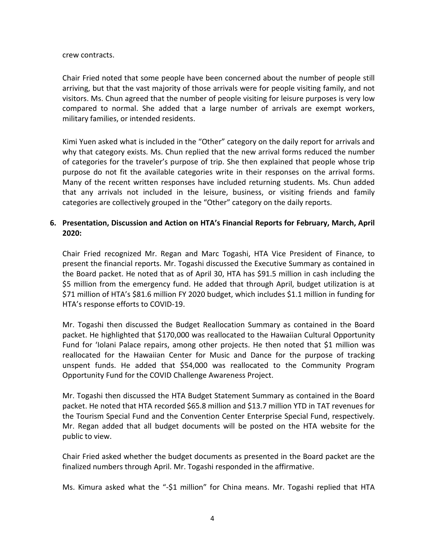#### crew contracts.

Chair Fried noted that some people have been concerned about the number of people still arriving, but that the vast majority of those arrivals were for people visiting family, and not visitors. Ms. Chun agreed that the number of people visiting for leisure purposes is very low compared to normal. She added that a large number of arrivals are exempt workers, military families, or intended residents.

Kimi Yuen asked what is included in the "Other" category on the daily report for arrivals and why that category exists. Ms. Chun replied that the new arrival forms reduced the number of categories for the traveler's purpose of trip. She then explained that people whose trip purpose do not fit the available categories write in their responses on the arrival forms. Many of the recent written responses have included returning students. Ms. Chun added that any arrivals not included in the leisure, business, or visiting friends and family categories are collectively grouped in the "Other" category on the daily reports.

# **6. Presentation, Discussion and Action on HTA's Financial Reports for February, March, April 2020:**

Chair Fried recognized Mr. Regan and Marc Togashi, HTA Vice President of Finance, to present the financial reports. Mr. Togashi discussed the Executive Summary as contained in the Board packet. He noted that as of April 30, HTA has \$91.5 million in cash including the \$5 million from the emergency fund. He added that through April, budget utilization is at \$71 million of HTA's \$81.6 million FY 2020 budget, which includes \$1.1 million in funding for HTA's response efforts to COVID-19.

Mr. Togashi then discussed the Budget Reallocation Summary as contained in the Board packet. He highlighted that \$170,000 was reallocated to the Hawaiian Cultural Opportunity Fund for 'Iolani Palace repairs, among other projects. He then noted that \$1 million was reallocated for the Hawaiian Center for Music and Dance for the purpose of tracking unspent funds. He added that \$54,000 was reallocated to the Community Program Opportunity Fund for the COVID Challenge Awareness Project.

Mr. Togashi then discussed the HTA Budget Statement Summary as contained in the Board packet. He noted that HTA recorded \$65.8 million and \$13.7 million YTD in TAT revenues for the Tourism Special Fund and the Convention Center Enterprise Special Fund, respectively. Mr. Regan added that all budget documents will be posted on the HTA website for the public to view.

Chair Fried asked whether the budget documents as presented in the Board packet are the finalized numbers through April. Mr. Togashi responded in the affirmative.

Ms. Kimura asked what the "-\$1 million" for China means. Mr. Togashi replied that HTA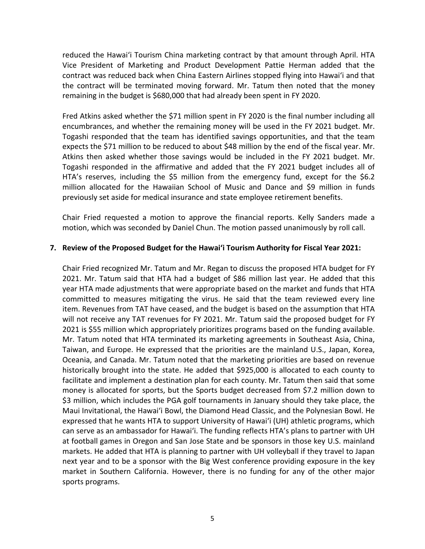reduced the Hawai'i Tourism China marketing contract by that amount through April. HTA Vice President of Marketing and Product Development Pattie Herman added that the contract was reduced back when China Eastern Airlines stopped flying into Hawai'i and that the contract will be terminated moving forward. Mr. Tatum then noted that the money remaining in the budget is \$680,000 that had already been spent in FY 2020.

Fred Atkins asked whether the \$71 million spent in FY 2020 is the final number including all encumbrances, and whether the remaining money will be used in the FY 2021 budget. Mr. Togashi responded that the team has identified savings opportunities, and that the team expects the \$71 million to be reduced to about \$48 million by the end of the fiscal year. Mr. Atkins then asked whether those savings would be included in the FY 2021 budget. Mr. Togashi responded in the affirmative and added that the FY 2021 budget includes all of HTA's reserves, including the \$5 million from the emergency fund, except for the \$6.2 million allocated for the Hawaiian School of Music and Dance and \$9 million in funds previously set aside for medical insurance and state employee retirement benefits.

Chair Fried requested a motion to approve the financial reports. Kelly Sanders made a motion, which was seconded by Daniel Chun. The motion passed unanimously by roll call.

### **7. Review of the Proposed Budget for the Hawaiʻi Tourism Authority for Fiscal Year 2021:**

Chair Fried recognized Mr. Tatum and Mr. Regan to discuss the proposed HTA budget for FY 2021. Mr. Tatum said that HTA had a budget of \$86 million last year. He added that this year HTA made adjustments that were appropriate based on the market and funds that HTA committed to measures mitigating the virus. He said that the team reviewed every line item. Revenues from TAT have ceased, and the budget is based on the assumption that HTA will not receive any TAT revenues for FY 2021. Mr. Tatum said the proposed budget for FY 2021 is \$55 million which appropriately prioritizes programs based on the funding available. Mr. Tatum noted that HTA terminated its marketing agreements in Southeast Asia, China, Taiwan, and Europe. He expressed that the priorities are the mainland U.S., Japan, Korea, Oceania, and Canada. Mr. Tatum noted that the marketing priorities are based on revenue historically brought into the state. He added that \$925,000 is allocated to each county to facilitate and implement a destination plan for each county. Mr. Tatum then said that some money is allocated for sports, but the Sports budget decreased from \$7.2 million down to \$3 million, which includes the PGA golf tournaments in January should they take place, the Maui Invitational, the Hawai'i Bowl, the Diamond Head Classic, and the Polynesian Bowl. He expressed that he wants HTA to support University of Hawai'i (UH) athletic programs, which can serve as an ambassador for Hawai'i. The funding reflects HTA's plans to partner with UH at football games in Oregon and San Jose State and be sponsors in those key U.S. mainland markets. He added that HTA is planning to partner with UH volleyball if they travel to Japan next year and to be a sponsor with the Big West conference providing exposure in the key market in Southern California. However, there is no funding for any of the other major sports programs.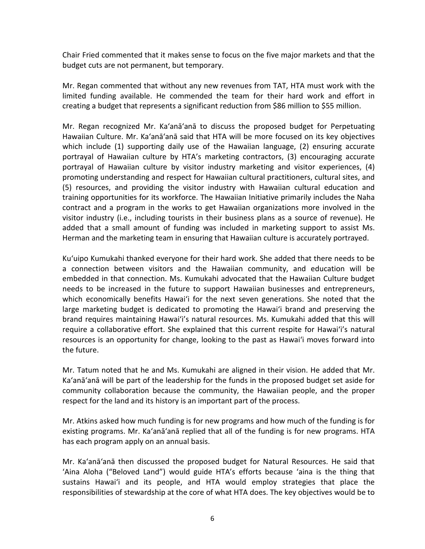Chair Fried commented that it makes sense to focus on the five major markets and that the budget cuts are not permanent, but temporary.

Mr. Regan commented that without any new revenues from TAT, HTA must work with the limited funding available. He commended the team for their hard work and effort in creating a budget that represents a significant reduction from \$86 million to \$55 million.

Mr. Regan recognized Mr. Ka'anā'anā to discuss the proposed budget for Perpetuating Hawaiian Culture. Mr. Ka'anā'anā said that HTA will be more focused on its key objectives which include (1) supporting daily use of the Hawaiian language, (2) ensuring accurate portrayal of Hawaiian culture by HTA's marketing contractors, (3) encouraging accurate portrayal of Hawaiian culture by visitor industry marketing and visitor experiences, (4) promoting understanding and respect for Hawaiian cultural practitioners, cultural sites, and (5) resources, and providing the visitor industry with Hawaiian cultural education and training opportunities for its workforce. The Hawaiian Initiative primarily includes the Naha contract and a program in the works to get Hawaiian organizations more involved in the visitor industry (i.e., including tourists in their business plans as a source of revenue). He added that a small amount of funding was included in marketing support to assist Ms. Herman and the marketing team in ensuring that Hawaiian culture is accurately portrayed.

Ku'uipo Kumukahi thanked everyone for their hard work. She added that there needs to be a connection between visitors and the Hawaiian community, and education will be embedded in that connection. Ms. Kumukahi advocated that the Hawaiian Culture budget needs to be increased in the future to support Hawaiian businesses and entrepreneurs, which economically benefits Hawai'i for the next seven generations. She noted that the large marketing budget is dedicated to promoting the Hawai'i brand and preserving the brand requires maintaining Hawai'i's natural resources. Ms. Kumukahi added that this will require a collaborative effort. She explained that this current respite for Hawai'i's natural resources is an opportunity for change, looking to the past as Hawai'i moves forward into the future.

Mr. Tatum noted that he and Ms. Kumukahi are aligned in their vision. He added that Mr. Ka'anā'anā will be part of the leadership for the funds in the proposed budget set aside for community collaboration because the community, the Hawaiian people, and the proper respect for the land and its history is an important part of the process.

Mr. Atkins asked how much funding is for new programs and how much of the funding is for existing programs. Mr. Ka'anā'anā replied that all of the funding is for new programs. HTA has each program apply on an annual basis.

Mr. Ka'anā'anā then discussed the proposed budget for Natural Resources. He said that 'Aina Aloha ("Beloved Land") would guide HTA's efforts because 'aina is the thing that sustains Hawai'i and its people, and HTA would employ strategies that place the responsibilities of stewardship at the core of what HTA does. The key objectives would be to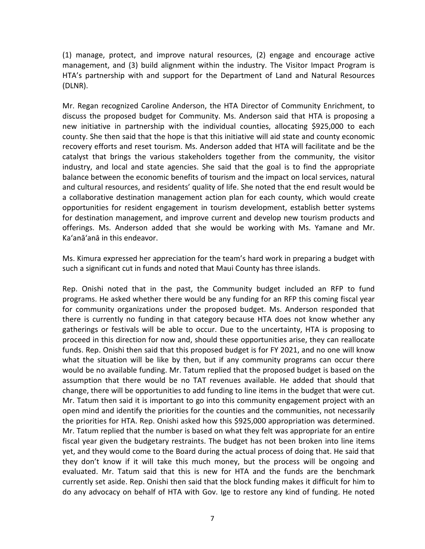(1) manage, protect, and improve natural resources, (2) engage and encourage active management, and (3) build alignment within the industry. The Visitor Impact Program is HTA's partnership with and support for the Department of Land and Natural Resources (DLNR).

Mr. Regan recognized Caroline Anderson, the HTA Director of Community Enrichment, to discuss the proposed budget for Community. Ms. Anderson said that HTA is proposing a new initiative in partnership with the individual counties, allocating \$925,000 to each county. She then said that the hope is that this initiative will aid state and county economic recovery efforts and reset tourism. Ms. Anderson added that HTA will facilitate and be the catalyst that brings the various stakeholders together from the community, the visitor industry, and local and state agencies. She said that the goal is to find the appropriate balance between the economic benefits of tourism and the impact on local services, natural and cultural resources, and residents' quality of life. She noted that the end result would be a collaborative destination management action plan for each county, which would create opportunities for resident engagement in tourism development, establish better systems for destination management, and improve current and develop new tourism products and offerings. Ms. Anderson added that she would be working with Ms. Yamane and Mr. Ka'anā'anā in this endeavor.

Ms. Kimura expressed her appreciation for the team's hard work in preparing a budget with such a significant cut in funds and noted that Maui County has three islands.

Rep. Onishi noted that in the past, the Community budget included an RFP to fund programs. He asked whether there would be any funding for an RFP this coming fiscal year for community organizations under the proposed budget. Ms. Anderson responded that there is currently no funding in that category because HTA does not know whether any gatherings or festivals will be able to occur. Due to the uncertainty, HTA is proposing to proceed in this direction for now and, should these opportunities arise, they can reallocate funds. Rep. Onishi then said that this proposed budget is for FY 2021, and no one will know what the situation will be like by then, but if any community programs can occur there would be no available funding. Mr. Tatum replied that the proposed budget is based on the assumption that there would be no TAT revenues available. He added that should that change, there will be opportunities to add funding to line items in the budget that were cut. Mr. Tatum then said it is important to go into this community engagement project with an open mind and identify the priorities for the counties and the communities, not necessarily the priorities for HTA. Rep. Onishi asked how this \$925,000 appropriation was determined. Mr. Tatum replied that the number is based on what they felt was appropriate for an entire fiscal year given the budgetary restraints. The budget has not been broken into line items yet, and they would come to the Board during the actual process of doing that. He said that they don't know if it will take this much money, but the process will be ongoing and evaluated. Mr. Tatum said that this is new for HTA and the funds are the benchmark currently set aside. Rep. Onishi then said that the block funding makes it difficult for him to do any advocacy on behalf of HTA with Gov. Ige to restore any kind of funding. He noted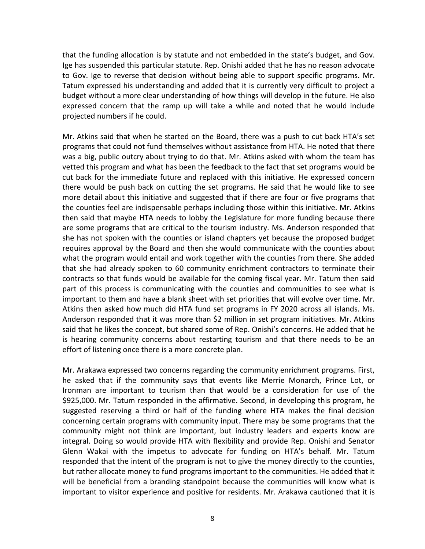that the funding allocation is by statute and not embedded in the state's budget, and Gov. Ige has suspended this particular statute. Rep. Onishi added that he has no reason advocate to Gov. Ige to reverse that decision without being able to support specific programs. Mr. Tatum expressed his understanding and added that it is currently very difficult to project a budget without a more clear understanding of how things will develop in the future. He also expressed concern that the ramp up will take a while and noted that he would include projected numbers if he could.

Mr. Atkins said that when he started on the Board, there was a push to cut back HTA's set programs that could not fund themselves without assistance from HTA. He noted that there was a big, public outcry about trying to do that. Mr. Atkins asked with whom the team has vetted this program and what has been the feedback to the fact that set programs would be cut back for the immediate future and replaced with this initiative. He expressed concern there would be push back on cutting the set programs. He said that he would like to see more detail about this initiative and suggested that if there are four or five programs that the counties feel are indispensable perhaps including those within this initiative. Mr. Atkins then said that maybe HTA needs to lobby the Legislature for more funding because there are some programs that are critical to the tourism industry. Ms. Anderson responded that she has not spoken with the counties or island chapters yet because the proposed budget requires approval by the Board and then she would communicate with the counties about what the program would entail and work together with the counties from there. She added that she had already spoken to 60 community enrichment contractors to terminate their contracts so that funds would be available for the coming fiscal year. Mr. Tatum then said part of this process is communicating with the counties and communities to see what is important to them and have a blank sheet with set priorities that will evolve over time. Mr. Atkins then asked how much did HTA fund set programs in FY 2020 across all islands. Ms. Anderson responded that it was more than \$2 million in set program initiatives. Mr. Atkins said that he likes the concept, but shared some of Rep. Onishi's concerns. He added that he is hearing community concerns about restarting tourism and that there needs to be an effort of listening once there is a more concrete plan.

Mr. Arakawa expressed two concerns regarding the community enrichment programs. First, he asked that if the community says that events like Merrie Monarch, Prince Lot, or Ironman are important to tourism than that would be a consideration for use of the \$925,000. Mr. Tatum responded in the affirmative. Second, in developing this program, he suggested reserving a third or half of the funding where HTA makes the final decision concerning certain programs with community input. There may be some programs that the community might not think are important, but industry leaders and experts know are integral. Doing so would provide HTA with flexibility and provide Rep. Onishi and Senator Glenn Wakai with the impetus to advocate for funding on HTA's behalf. Mr. Tatum responded that the intent of the program is not to give the money directly to the counties, but rather allocate money to fund programs important to the communities. He added that it will be beneficial from a branding standpoint because the communities will know what is important to visitor experience and positive for residents. Mr. Arakawa cautioned that it is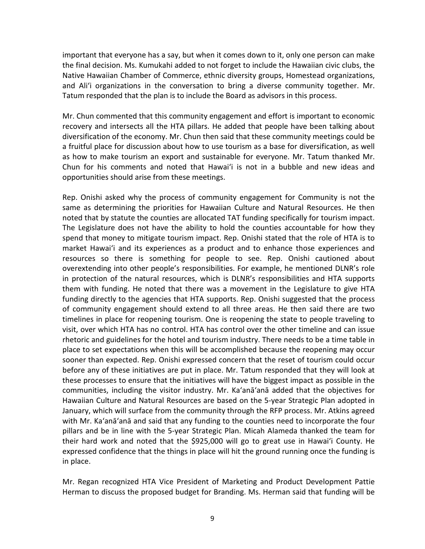important that everyone has a say, but when it comes down to it, only one person can make the final decision. Ms. Kumukahi added to not forget to include the Hawaiian civic clubs, the Native Hawaiian Chamber of Commerce, ethnic diversity groups, Homestead organizations, and Ali'i organizations in the conversation to bring a diverse community together. Mr. Tatum responded that the plan is to include the Board as advisors in this process.

Mr. Chun commented that this community engagement and effort is important to economic recovery and intersects all the HTA pillars. He added that people have been talking about diversification of the economy. Mr. Chun then said that these community meetings could be a fruitful place for discussion about how to use tourism as a base for diversification, as well as how to make tourism an export and sustainable for everyone. Mr. Tatum thanked Mr. Chun for his comments and noted that Hawai'i is not in a bubble and new ideas and opportunities should arise from these meetings.

Rep. Onishi asked why the process of community engagement for Community is not the same as determining the priorities for Hawaiian Culture and Natural Resources. He then noted that by statute the counties are allocated TAT funding specifically for tourism impact. The Legislature does not have the ability to hold the counties accountable for how they spend that money to mitigate tourism impact. Rep. Onishi stated that the role of HTA is to market Hawai'i and its experiences as a product and to enhance those experiences and resources so there is something for people to see. Rep. Onishi cautioned about overextending into other people's responsibilities. For example, he mentioned DLNR's role in protection of the natural resources, which is DLNR's responsibilities and HTA supports them with funding. He noted that there was a movement in the Legislature to give HTA funding directly to the agencies that HTA supports. Rep. Onishi suggested that the process of community engagement should extend to all three areas. He then said there are two timelines in place for reopening tourism. One is reopening the state to people traveling to visit, over which HTA has no control. HTA has control over the other timeline and can issue rhetoric and guidelines for the hotel and tourism industry. There needs to be a time table in place to set expectations when this will be accomplished because the reopening may occur sooner than expected. Rep. Onishi expressed concern that the reset of tourism could occur before any of these initiatives are put in place. Mr. Tatum responded that they will look at these processes to ensure that the initiatives will have the biggest impact as possible in the communities, including the visitor industry. Mr. Ka'anā'anā added that the objectives for Hawaiian Culture and Natural Resources are based on the 5-year Strategic Plan adopted in January, which will surface from the community through the RFP process. Mr. Atkins agreed with Mr. Ka'anā'anā and said that any funding to the counties need to incorporate the four pillars and be in line with the 5-year Strategic Plan. Micah Alameda thanked the team for their hard work and noted that the \$925,000 will go to great use in Hawai'i County. He expressed confidence that the things in place will hit the ground running once the funding is in place.

Mr. Regan recognized HTA Vice President of Marketing and Product Development Pattie Herman to discuss the proposed budget for Branding. Ms. Herman said that funding will be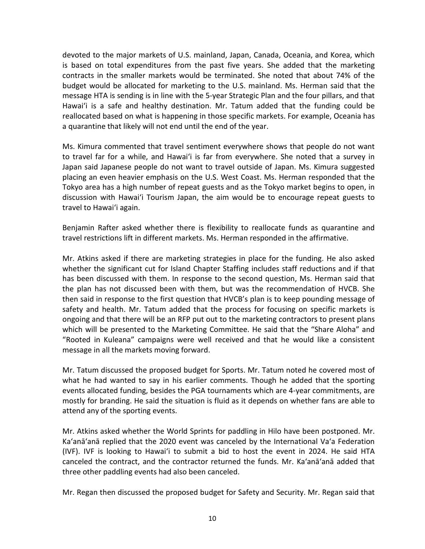devoted to the major markets of U.S. mainland, Japan, Canada, Oceania, and Korea, which is based on total expenditures from the past five years. She added that the marketing contracts in the smaller markets would be terminated. She noted that about 74% of the budget would be allocated for marketing to the U.S. mainland. Ms. Herman said that the message HTA is sending is in line with the 5-year Strategic Plan and the four pillars, and that Hawai'i is a safe and healthy destination. Mr. Tatum added that the funding could be reallocated based on what is happening in those specific markets. For example, Oceania has a quarantine that likely will not end until the end of the year.

Ms. Kimura commented that travel sentiment everywhere shows that people do not want to travel far for a while, and Hawai'i is far from everywhere. She noted that a survey in Japan said Japanese people do not want to travel outside of Japan. Ms. Kimura suggested placing an even heavier emphasis on the U.S. West Coast. Ms. Herman responded that the Tokyo area has a high number of repeat guests and as the Tokyo market begins to open, in discussion with Hawai'i Tourism Japan, the aim would be to encourage repeat guests to travel to Hawai'i again.

Benjamin Rafter asked whether there is flexibility to reallocate funds as quarantine and travel restrictions lift in different markets. Ms. Herman responded in the affirmative.

Mr. Atkins asked if there are marketing strategies in place for the funding. He also asked whether the significant cut for Island Chapter Staffing includes staff reductions and if that has been discussed with them. In response to the second question, Ms. Herman said that the plan has not discussed been with them, but was the recommendation of HVCB. She then said in response to the first question that HVCB's plan is to keep pounding message of safety and health. Mr. Tatum added that the process for focusing on specific markets is ongoing and that there will be an RFP put out to the marketing contractors to present plans which will be presented to the Marketing Committee. He said that the "Share Aloha" and "Rooted in Kuleana" campaigns were well received and that he would like a consistent message in all the markets moving forward.

Mr. Tatum discussed the proposed budget for Sports. Mr. Tatum noted he covered most of what he had wanted to say in his earlier comments. Though he added that the sporting events allocated funding, besides the PGA tournaments which are 4-year commitments, are mostly for branding. He said the situation is fluid as it depends on whether fans are able to attend any of the sporting events.

Mr. Atkins asked whether the World Sprints for paddling in Hilo have been postponed. Mr. Ka'anā'anā replied that the 2020 event was canceled by the International Va'a Federation (IVF). IVF is looking to Hawai'i to submit a bid to host the event in 2024. He said HTA canceled the contract, and the contractor returned the funds. Mr. Ka'anā'anā added that three other paddling events had also been canceled.

Mr. Regan then discussed the proposed budget for Safety and Security. Mr. Regan said that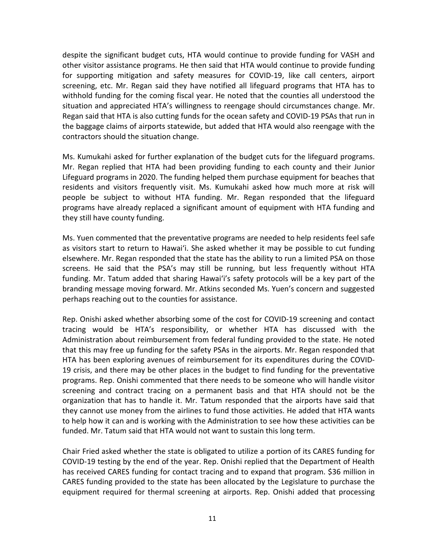despite the significant budget cuts, HTA would continue to provide funding for VASH and other visitor assistance programs. He then said that HTA would continue to provide funding for supporting mitigation and safety measures for COVID-19, like call centers, airport screening, etc. Mr. Regan said they have notified all lifeguard programs that HTA has to withhold funding for the coming fiscal year. He noted that the counties all understood the situation and appreciated HTA's willingness to reengage should circumstances change. Mr. Regan said that HTA is also cutting funds for the ocean safety and COVID-19 PSAs that run in the baggage claims of airports statewide, but added that HTA would also reengage with the contractors should the situation change.

Ms. Kumukahi asked for further explanation of the budget cuts for the lifeguard programs. Mr. Regan replied that HTA had been providing funding to each county and their Junior Lifeguard programs in 2020. The funding helped them purchase equipment for beaches that residents and visitors frequently visit. Ms. Kumukahi asked how much more at risk will people be subject to without HTA funding. Mr. Regan responded that the lifeguard programs have already replaced a significant amount of equipment with HTA funding and they still have county funding.

Ms. Yuen commented that the preventative programs are needed to help residents feel safe as visitors start to return to Hawai'i. She asked whether it may be possible to cut funding elsewhere. Mr. Regan responded that the state has the ability to run a limited PSA on those screens. He said that the PSA's may still be running, but less frequently without HTA funding. Mr. Tatum added that sharing Hawai'i's safety protocols will be a key part of the branding message moving forward. Mr. Atkins seconded Ms. Yuen's concern and suggested perhaps reaching out to the counties for assistance.

Rep. Onishi asked whether absorbing some of the cost for COVID-19 screening and contact tracing would be HTA's responsibility, or whether HTA has discussed with the Administration about reimbursement from federal funding provided to the state. He noted that this may free up funding for the safety PSAs in the airports. Mr. Regan responded that HTA has been exploring avenues of reimbursement for its expenditures during the COVID-19 crisis, and there may be other places in the budget to find funding for the preventative programs. Rep. Onishi commented that there needs to be someone who will handle visitor screening and contract tracing on a permanent basis and that HTA should not be the organization that has to handle it. Mr. Tatum responded that the airports have said that they cannot use money from the airlines to fund those activities. He added that HTA wants to help how it can and is working with the Administration to see how these activities can be funded. Mr. Tatum said that HTA would not want to sustain this long term.

Chair Fried asked whether the state is obligated to utilize a portion of its CARES funding for COVID-19 testing by the end of the year. Rep. Onishi replied that the Department of Health has received CARES funding for contact tracing and to expand that program. \$36 million in CARES funding provided to the state has been allocated by the Legislature to purchase the equipment required for thermal screening at airports. Rep. Onishi added that processing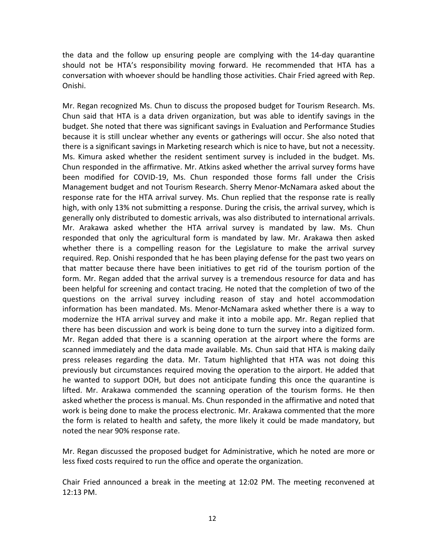the data and the follow up ensuring people are complying with the 14-day quarantine should not be HTA's responsibility moving forward. He recommended that HTA has a conversation with whoever should be handling those activities. Chair Fried agreed with Rep. Onishi.

Mr. Regan recognized Ms. Chun to discuss the proposed budget for Tourism Research. Ms. Chun said that HTA is a data driven organization, but was able to identify savings in the budget. She noted that there was significant savings in Evaluation and Performance Studies because it is still unclear whether any events or gatherings will occur. She also noted that there is a significant savings in Marketing research which is nice to have, but not a necessity. Ms. Kimura asked whether the resident sentiment survey is included in the budget. Ms. Chun responded in the affirmative. Mr. Atkins asked whether the arrival survey forms have been modified for COVID-19, Ms. Chun responded those forms fall under the Crisis Management budget and not Tourism Research. Sherry Menor-McNamara asked about the response rate for the HTA arrival survey. Ms. Chun replied that the response rate is really high, with only 13% not submitting a response. During the crisis, the arrival survey, which is generally only distributed to domestic arrivals, was also distributed to international arrivals. Mr. Arakawa asked whether the HTA arrival survey is mandated by law. Ms. Chun responded that only the agricultural form is mandated by law. Mr. Arakawa then asked whether there is a compelling reason for the Legislature to make the arrival survey required. Rep. Onishi responded that he has been playing defense for the past two years on that matter because there have been initiatives to get rid of the tourism portion of the form. Mr. Regan added that the arrival survey is a tremendous resource for data and has been helpful for screening and contact tracing. He noted that the completion of two of the questions on the arrival survey including reason of stay and hotel accommodation information has been mandated. Ms. Menor-McNamara asked whether there is a way to modernize the HTA arrival survey and make it into a mobile app. Mr. Regan replied that there has been discussion and work is being done to turn the survey into a digitized form. Mr. Regan added that there is a scanning operation at the airport where the forms are scanned immediately and the data made available. Ms. Chun said that HTA is making daily press releases regarding the data. Mr. Tatum highlighted that HTA was not doing this previously but circumstances required moving the operation to the airport. He added that he wanted to support DOH, but does not anticipate funding this once the quarantine is lifted. Mr. Arakawa commended the scanning operation of the tourism forms. He then asked whether the process is manual. Ms. Chun responded in the affirmative and noted that work is being done to make the process electronic. Mr. Arakawa commented that the more the form is related to health and safety, the more likely it could be made mandatory, but noted the near 90% response rate.

Mr. Regan discussed the proposed budget for Administrative, which he noted are more or less fixed costs required to run the office and operate the organization.

Chair Fried announced a break in the meeting at 12:02 PM. The meeting reconvened at 12:13 PM.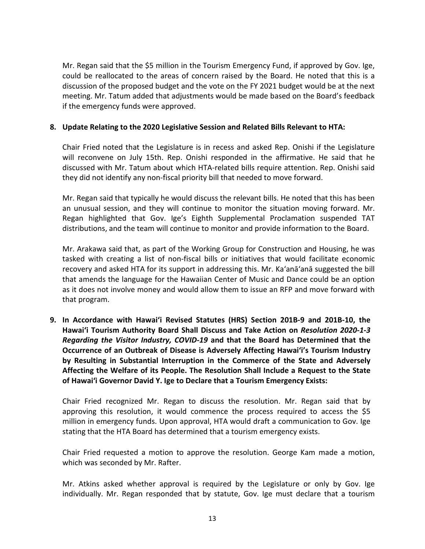Mr. Regan said that the \$5 million in the Tourism Emergency Fund, if approved by Gov. Ige, could be reallocated to the areas of concern raised by the Board. He noted that this is a discussion of the proposed budget and the vote on the FY 2021 budget would be at the next meeting. Mr. Tatum added that adjustments would be made based on the Board's feedback if the emergency funds were approved.

### **8. Update Relating to the 2020 Legislative Session and Related Bills Relevant to HTA:**

Chair Fried noted that the Legislature is in recess and asked Rep. Onishi if the Legislature will reconvene on July 15th. Rep. Onishi responded in the affirmative. He said that he discussed with Mr. Tatum about which HTA-related bills require attention. Rep. Onishi said they did not identify any non-fiscal priority bill that needed to move forward.

Mr. Regan said that typically he would discuss the relevant bills. He noted that this has been an unusual session, and they will continue to monitor the situation moving forward. Mr. Regan highlighted that Gov. Ige's Eighth Supplemental Proclamation suspended TAT distributions, and the team will continue to monitor and provide information to the Board.

Mr. Arakawa said that, as part of the Working Group for Construction and Housing, he was tasked with creating a list of non-fiscal bills or initiatives that would facilitate economic recovery and asked HTA for its support in addressing this. Mr. Ka'anā'anā suggested the bill that amends the language for the Hawaiian Center of Music and Dance could be an option as it does not involve money and would allow them to issue an RFP and move forward with that program.

**9. In Accordance with Hawai'i Revised Statutes (HRS) Section 201B-9 and 201B-10, the Hawai'i Tourism Authority Board Shall Discuss and Take Action on** *Resolution 2020-1-3 Regarding the Visitor Industry, COVID-19* **and that the Board has Determined that the Occurrence of an Outbreak of Disease is Adversely Affecting Hawai'i's Tourism Industry by Resulting in Substantial Interruption in the Commerce of the State and Adversely Affecting the Welfare of its People. The Resolution Shall Include a Request to the State of Hawai'i Governor David Y. Ige to Declare that a Tourism Emergency Exists:**

Chair Fried recognized Mr. Regan to discuss the resolution. Mr. Regan said that by approving this resolution, it would commence the process required to access the \$5 million in emergency funds. Upon approval, HTA would draft a communication to Gov. Ige stating that the HTA Board has determined that a tourism emergency exists.

Chair Fried requested a motion to approve the resolution. George Kam made a motion, which was seconded by Mr. Rafter.

Mr. Atkins asked whether approval is required by the Legislature or only by Gov. Ige individually. Mr. Regan responded that by statute, Gov. Ige must declare that a tourism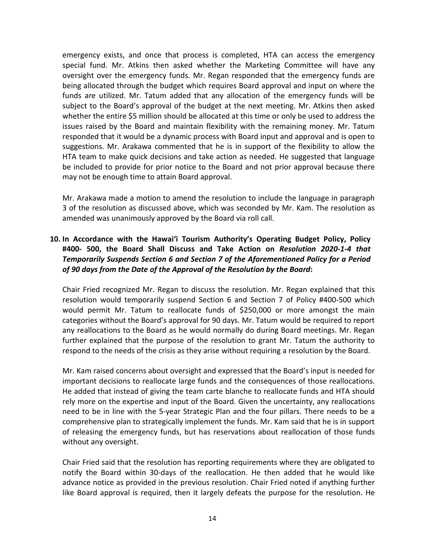emergency exists, and once that process is completed, HTA can access the emergency special fund. Mr. Atkins then asked whether the Marketing Committee will have any oversight over the emergency funds. Mr. Regan responded that the emergency funds are being allocated through the budget which requires Board approval and input on where the funds are utilized. Mr. Tatum added that any allocation of the emergency funds will be subject to the Board's approval of the budget at the next meeting. Mr. Atkins then asked whether the entire \$5 million should be allocated at this time or only be used to address the issues raised by the Board and maintain flexibility with the remaining money. Mr. Tatum responded that it would be a dynamic process with Board input and approval and is open to suggestions. Mr. Arakawa commented that he is in support of the flexibility to allow the HTA team to make quick decisions and take action as needed. He suggested that language be included to provide for prior notice to the Board and not prior approval because there may not be enough time to attain Board approval.

Mr. Arakawa made a motion to amend the resolution to include the language in paragraph 3 of the resolution as discussed above, which was seconded by Mr. Kam. The resolution as amended was unanimously approved by the Board via roll call.

# **10. In Accordance with the Hawai'i Tourism Authority's Operating Budget Policy, Policy #400- 500, the Board Shall Discuss and Take Action on** *Resolution 2020-1-4 that Temporarily Suspends Section 6 and Section 7 of the Aforementioned Policy for a Period of 90 days from the Date of the Approval of the Resolution by the Board***:**

Chair Fried recognized Mr. Regan to discuss the resolution. Mr. Regan explained that this resolution would temporarily suspend Section 6 and Section 7 of Policy #400-500 which would permit Mr. Tatum to reallocate funds of \$250,000 or more amongst the main categories without the Board's approval for 90 days. Mr. Tatum would be required to report any reallocations to the Board as he would normally do during Board meetings. Mr. Regan further explained that the purpose of the resolution to grant Mr. Tatum the authority to respond to the needs of the crisis as they arise without requiring a resolution by the Board.

Mr. Kam raised concerns about oversight and expressed that the Board's input is needed for important decisions to reallocate large funds and the consequences of those reallocations. He added that instead of giving the team carte blanche to reallocate funds and HTA should rely more on the expertise and input of the Board. Given the uncertainty, any reallocations need to be in line with the 5-year Strategic Plan and the four pillars. There needs to be a comprehensive plan to strategically implement the funds. Mr. Kam said that he is in support of releasing the emergency funds, but has reservations about reallocation of those funds without any oversight.

Chair Fried said that the resolution has reporting requirements where they are obligated to notify the Board within 30-days of the reallocation. He then added that he would like advance notice as provided in the previous resolution. Chair Fried noted if anything further like Board approval is required, then it largely defeats the purpose for the resolution. He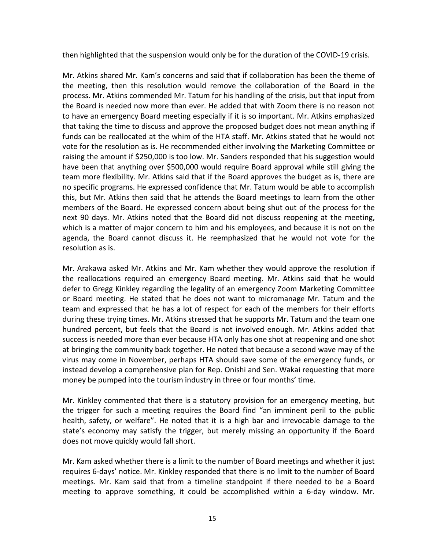then highlighted that the suspension would only be for the duration of the COVID-19 crisis.

Mr. Atkins shared Mr. Kam's concerns and said that if collaboration has been the theme of the meeting, then this resolution would remove the collaboration of the Board in the process. Mr. Atkins commended Mr. Tatum for his handling of the crisis, but that input from the Board is needed now more than ever. He added that with Zoom there is no reason not to have an emergency Board meeting especially if it is so important. Mr. Atkins emphasized that taking the time to discuss and approve the proposed budget does not mean anything if funds can be reallocated at the whim of the HTA staff. Mr. Atkins stated that he would not vote for the resolution as is. He recommended either involving the Marketing Committee or raising the amount if \$250,000 is too low. Mr. Sanders responded that his suggestion would have been that anything over \$500,000 would require Board approval while still giving the team more flexibility. Mr. Atkins said that if the Board approves the budget as is, there are no specific programs. He expressed confidence that Mr. Tatum would be able to accomplish this, but Mr. Atkins then said that he attends the Board meetings to learn from the other members of the Board. He expressed concern about being shut out of the process for the next 90 days. Mr. Atkins noted that the Board did not discuss reopening at the meeting, which is a matter of major concern to him and his employees, and because it is not on the agenda, the Board cannot discuss it. He reemphasized that he would not vote for the resolution as is.

Mr. Arakawa asked Mr. Atkins and Mr. Kam whether they would approve the resolution if the reallocations required an emergency Board meeting. Mr. Atkins said that he would defer to Gregg Kinkley regarding the legality of an emergency Zoom Marketing Committee or Board meeting. He stated that he does not want to micromanage Mr. Tatum and the team and expressed that he has a lot of respect for each of the members for their efforts during these trying times. Mr. Atkins stressed that he supports Mr. Tatum and the team one hundred percent, but feels that the Board is not involved enough. Mr. Atkins added that success is needed more than ever because HTA only has one shot at reopening and one shot at bringing the community back together. He noted that because a second wave may of the virus may come in November, perhaps HTA should save some of the emergency funds, or instead develop a comprehensive plan for Rep. Onishi and Sen. Wakai requesting that more money be pumped into the tourism industry in three or four months' time.

Mr. Kinkley commented that there is a statutory provision for an emergency meeting, but the trigger for such a meeting requires the Board find "an imminent peril to the public health, safety, or welfare". He noted that it is a high bar and irrevocable damage to the state's economy may satisfy the trigger, but merely missing an opportunity if the Board does not move quickly would fall short.

Mr. Kam asked whether there is a limit to the number of Board meetings and whether it just requires 6-days' notice. Mr. Kinkley responded that there is no limit to the number of Board meetings. Mr. Kam said that from a timeline standpoint if there needed to be a Board meeting to approve something, it could be accomplished within a 6-day window. Mr.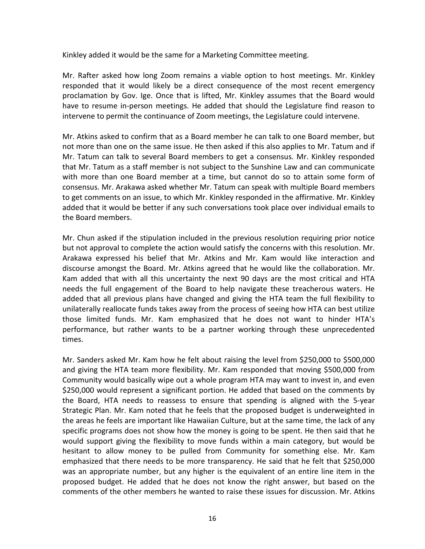Kinkley added it would be the same for a Marketing Committee meeting.

Mr. Rafter asked how long Zoom remains a viable option to host meetings. Mr. Kinkley responded that it would likely be a direct consequence of the most recent emergency proclamation by Gov. Ige. Once that is lifted, Mr. Kinkley assumes that the Board would have to resume in-person meetings. He added that should the Legislature find reason to intervene to permit the continuance of Zoom meetings, the Legislature could intervene.

Mr. Atkins asked to confirm that as a Board member he can talk to one Board member, but not more than one on the same issue. He then asked if this also applies to Mr. Tatum and if Mr. Tatum can talk to several Board members to get a consensus. Mr. Kinkley responded that Mr. Tatum as a staff member is not subject to the Sunshine Law and can communicate with more than one Board member at a time, but cannot do so to attain some form of consensus. Mr. Arakawa asked whether Mr. Tatum can speak with multiple Board members to get comments on an issue, to which Mr. Kinkley responded in the affirmative. Mr. Kinkley added that it would be better if any such conversations took place over individual emails to the Board members.

Mr. Chun asked if the stipulation included in the previous resolution requiring prior notice but not approval to complete the action would satisfy the concerns with this resolution. Mr. Arakawa expressed his belief that Mr. Atkins and Mr. Kam would like interaction and discourse amongst the Board. Mr. Atkins agreed that he would like the collaboration. Mr. Kam added that with all this uncertainty the next 90 days are the most critical and HTA needs the full engagement of the Board to help navigate these treacherous waters. He added that all previous plans have changed and giving the HTA team the full flexibility to unilaterally reallocate funds takes away from the process of seeing how HTA can best utilize those limited funds. Mr. Kam emphasized that he does not want to hinder HTA's performance, but rather wants to be a partner working through these unprecedented times.

Mr. Sanders asked Mr. Kam how he felt about raising the level from \$250,000 to \$500,000 and giving the HTA team more flexibility. Mr. Kam responded that moving \$500,000 from Community would basically wipe out a whole program HTA may want to invest in, and even \$250,000 would represent a significant portion. He added that based on the comments by the Board, HTA needs to reassess to ensure that spending is aligned with the 5-year Strategic Plan. Mr. Kam noted that he feels that the proposed budget is underweighted in the areas he feels are important like Hawaiian Culture, but at the same time, the lack of any specific programs does not show how the money is going to be spent. He then said that he would support giving the flexibility to move funds within a main category, but would be hesitant to allow money to be pulled from Community for something else. Mr. Kam emphasized that there needs to be more transparency. He said that he felt that \$250,000 was an appropriate number, but any higher is the equivalent of an entire line item in the proposed budget. He added that he does not know the right answer, but based on the comments of the other members he wanted to raise these issues for discussion. Mr. Atkins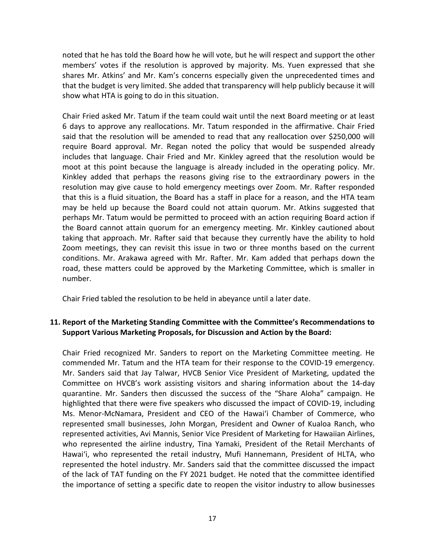noted that he has told the Board how he will vote, but he will respect and support the other members' votes if the resolution is approved by majority. Ms. Yuen expressed that she shares Mr. Atkins' and Mr. Kam's concerns especially given the unprecedented times and that the budget is very limited. She added that transparency will help publicly because it will show what HTA is going to do in this situation.

Chair Fried asked Mr. Tatum if the team could wait until the next Board meeting or at least 6 days to approve any reallocations. Mr. Tatum responded in the affirmative. Chair Fried said that the resolution will be amended to read that any reallocation over \$250,000 will require Board approval. Mr. Regan noted the policy that would be suspended already includes that language. Chair Fried and Mr. Kinkley agreed that the resolution would be moot at this point because the language is already included in the operating policy. Mr. Kinkley added that perhaps the reasons giving rise to the extraordinary powers in the resolution may give cause to hold emergency meetings over Zoom. Mr. Rafter responded that this is a fluid situation, the Board has a staff in place for a reason, and the HTA team may be held up because the Board could not attain quorum. Mr. Atkins suggested that perhaps Mr. Tatum would be permitted to proceed with an action requiring Board action if the Board cannot attain quorum for an emergency meeting. Mr. Kinkley cautioned about taking that approach. Mr. Rafter said that because they currently have the ability to hold Zoom meetings, they can revisit this issue in two or three months based on the current conditions. Mr. Arakawa agreed with Mr. Rafter. Mr. Kam added that perhaps down the road, these matters could be approved by the Marketing Committee, which is smaller in number.

Chair Fried tabled the resolution to be held in abeyance until a later date.

# **11. Report of the Marketing Standing Committee with the Committee's Recommendations to Support Various Marketing Proposals, for Discussion and Action by the Board:**

Chair Fried recognized Mr. Sanders to report on the Marketing Committee meeting. He commended Mr. Tatum and the HTA team for their response to the COVID-19 emergency. Mr. Sanders said that Jay Talwar, HVCB Senior Vice President of Marketing, updated the Committee on HVCB's work assisting visitors and sharing information about the 14-day quarantine. Mr. Sanders then discussed the success of the "Share Aloha" campaign. He highlighted that there were five speakers who discussed the impact of COVID-19, including Ms. Menor-McNamara, President and CEO of the Hawai'i Chamber of Commerce, who represented small businesses, John Morgan, President and Owner of Kualoa Ranch, who represented activities, Avi Mannis, Senior Vice President of Marketing for Hawaiian Airlines, who represented the airline industry, Tina Yamaki, President of the Retail Merchants of Hawai'i, who represented the retail industry, Mufi Hannemann, President of HLTA, who represented the hotel industry. Mr. Sanders said that the committee discussed the impact of the lack of TAT funding on the FY 2021 budget. He noted that the committee identified the importance of setting a specific date to reopen the visitor industry to allow businesses